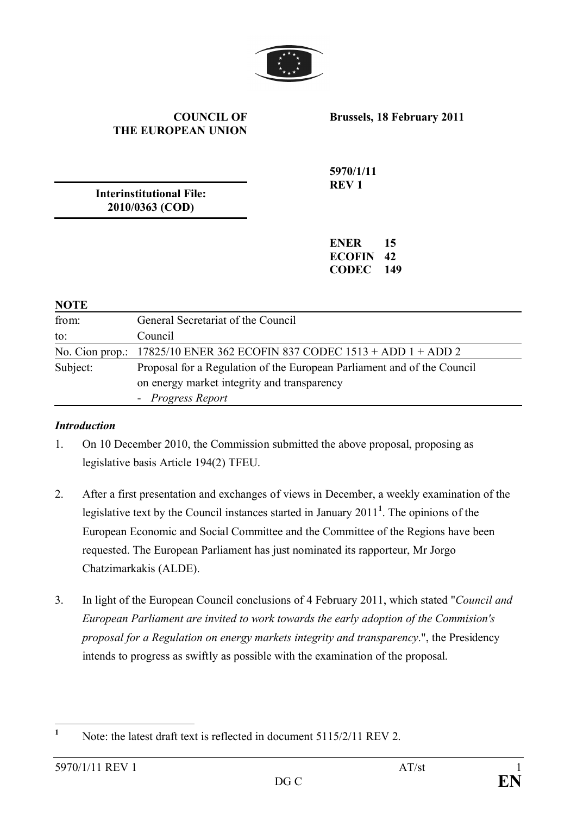

#### **COUNCIL OF THE EUROPEAN UNION**

**Brussels, 18 February 2011**

**Interinstitutional File: 2010/0363 (COD)**

**5970/1/11 REV 1**

**ENER 15 ECOFIN 42 CODEC 149**

#### **NOTE**

| from:    | General Secretariat of the Council                                                                                                          |
|----------|---------------------------------------------------------------------------------------------------------------------------------------------|
| to:      | Council                                                                                                                                     |
|          | No. Cion prop.: $17825/10$ ENER 362 ECOFIN 837 CODEC $1513 + ADD 1 + ADD 2$                                                                 |
| Subject: | Proposal for a Regulation of the European Parliament and of the Council<br>on energy market integrity and transparency<br>- Progress Report |

#### *Introduction*

- 1. On 10 December 2010, the Commission submitted the above proposal, proposing as legislative basis Article 194(2) TFEU.
- 2. After a first presentation and exchanges of views in December, a weekly examination of the legislative text by the Council instances started in January 2011**<sup>1</sup>** . The opinions of the European Economic and Social Committee and the Committee of the Regions have been requested. The European Parliament has just nominated its rapporteur, Mr Jorgo Chatzimarkakis (ALDE).
- 3. In light of the European Council conclusions of 4 February 2011, which stated "*Council and European Parliament are invited to work towards the early adoption of the Commision's proposal for a Regulation on energy markets integrity and transparency*.", the Presidency intends to progress as swiftly as possible with the examination of the proposal.

<sup>&</sup>lt;sup>1</sup> Note: the latest draft text is reflected in document 5115/2/11 REV 2.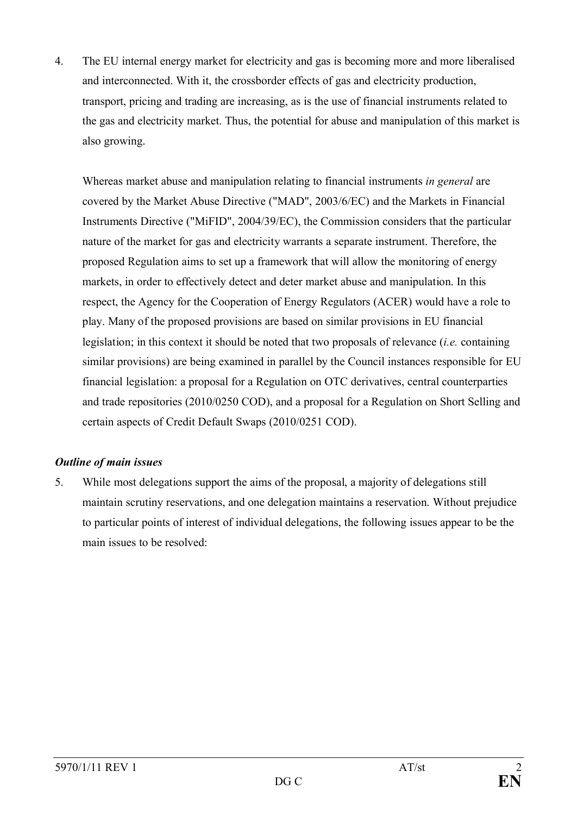4. The EU internal energy market for electricity and gas is becoming more and more liberalised and interconnected. With it, the crossborder effects of gas and electricity production, transport, pricing and trading are increasing, as is the use of financial instruments related to the gas and electricity market. Thus, the potential for abuse and manipulation of this market is also growing.

Whereas market abuse and manipulation relating to financial instruments *in general* are covered by the Market Abuse Directive ("MAD", 2003/6/EC) and the Markets in Financial Instruments Directive ("MiFID", 2004/39/EC), the Commission considers that the particular nature of the market for gas and electricity warrants a separate instrument. Therefore, the proposed Regulation aims to set up a framework that will allow the monitoring of energy markets, in order to effectively detect and deter market abuse and manipulation. In this respect, the Agency for the Cooperation of Energy Regulators (ACER) would have a role to play. Many of the proposed provisions are based on similar provisions in EU financial legislation; in this context it should be noted that two proposals of relevance (*i.e.* containing similar provisions) are being examined in parallel by the Council instances responsible for EU financial legislation: a proposal for a Regulation on OTC derivatives, central counterparties and trade repositories (2010/0250 COD), and a proposal for a Regulation on Short Selling and certain aspects of Credit Default Swaps (2010/0251 COD).

## *Outline of main issues*

5. While most delegations support the aims of the proposal, a majority of delegations still maintain scrutiny reservations, and one delegation maintains a reservation. Without prejudice to particular points of interest of individual delegations, the following issues appear to be the main issues to be resolved: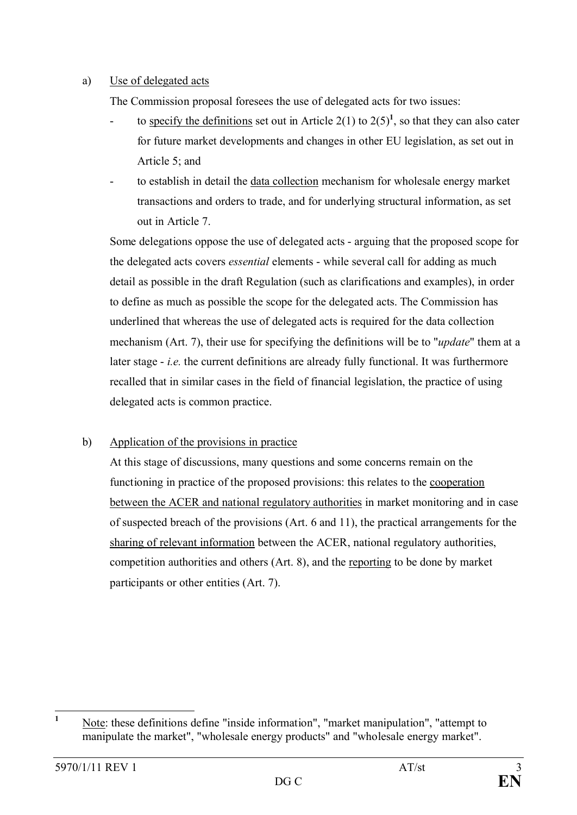### a) Use of delegated acts

The Commission proposal foresees the use of delegated acts for two issues:

- to specify the definitions set out in Article 2(1) to  $2(5)^1$ , so that they can also cater for future market developments and changes in other EU legislation, as set out in Article 5; and
- to establish in detail the data collection mechanism for wholesale energy market transactions and orders to trade, and for underlying structural information, as set out in Article 7.

Some delegations oppose the use of delegated acts - arguing that the proposed scope for the delegated acts covers *essential* elements - while several call for adding as much detail as possible in the draft Regulation (such as clarifications and examples), in order to define as much as possible the scope for the delegated acts. The Commission has underlined that whereas the use of delegated acts is required for the data collection mechanism (Art. 7), their use for specifying the definitions will be to "*update*" them at a later stage - *i.e.* the current definitions are already fully functional. It was furthermore recalled that in similar cases in the field of financial legislation, the practice of using delegated acts is common practice.

## b) Application of the provisions in practice

At this stage of discussions, many questions and some concerns remain on the functioning in practice of the proposed provisions: this relates to the cooperation between the ACER and national regulatory authorities in market monitoring and in case of suspected breach of the provisions (Art. 6 and 11), the practical arrangements for the sharing of relevant information between the ACER, national regulatory authorities, competition authorities and others (Art. 8), and the reporting to be done by market participants or other entities (Art. 7).

<sup>&</sup>lt;sup>1</sup> Note: these definitions define "inside information", "market manipulation", "attempt to manipulate the market", "wholesale energy products" and "wholesale energy market".